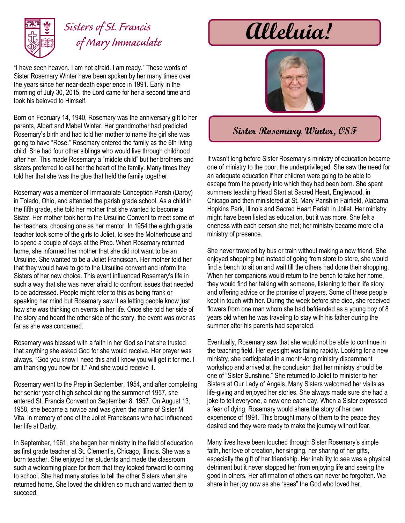

## *Sisters of St. Francis of Mary Immaculate*

"I have seen heaven. I am not afraid. I am ready." These words of Sister Rosemary Winter have been spoken by her many times over the years since her near-death experience in 1991. Early in the morning of July 30, 2015, the Lord came for her a second time and took his beloved to Himself.

Born on February 14, 1940, Rosemary was the anniversary gift to her parents, Albert and Mabel Winter. Her grandmother had predicted Rosemary's birth and had told her mother to name the girl she was going to have "Rose." Rosemary entered the family as the 6th living child. She had four other siblings who would live through childhood after her. This made Rosemary a "middle child" but her brothers and sisters preferred to call her the heart of the family. Many times they told her that she was the glue that held the family together.

Rosemary was a member of Immaculate Conception Parish (Darby) in Toledo, Ohio, and attended the parish grade school. As a child in the fifth grade, she told her mother that she wanted to become a Sister. Her mother took her to the Ursuline Convent to meet some of her teachers, choosing one as her mentor. In 1954 the eighth grade teacher took some of the girls to Joliet, to see the Motherhouse and to spend a couple of days at the Prep. When Rosemary returned home, she informed her mother that she did not want to be an Ursuline. She wanted to be a Joliet Franciscan. Her mother told her that they would have to go to the Ursuline convent and inform the Sisters of her new choice. This event influenced Rosemary's life in such a way that she was never afraid to confront issues that needed to be addressed. People might refer to this as being frank or speaking her mind but Rosemary saw it as letting people know just how she was thinking on events in her life. Once she told her side of the story and heard the other side of the story, the event was over as far as she was concerned.

Rosemary was blessed with a faith in her God so that she trusted that anything she asked God for she would receive. Her prayer was always, "God you know I need this and I know you will get it for me. I am thanking you now for it." And she would receive it.

Rosemary went to the Prep in September, 1954, and after completing her senior year of high school during the summer of 1957, she entered St. Francis Convent on September 8, 1957. On August 13, 1958, she became a novice and was given the name of Sister M. Vita, in memory of one of the Joliet Franciscans who had influenced her life at Darby.

In September, 1961, she began her ministry in the field of education as first grade teacher at St. Clement's, Chicago, Illinois. She was a born teacher. She enjoyed her students and made the classroom such a welcoming place for them that they looked forward to coming to school. She had many stories to tell the other Sisters when she returned home. She loved the children so much and wanted them to succeed.

## **Alleluia!**



## **Sister Rosemary Winter, OSF**

It wasn't long before Sister Rosemary's ministry of education became one of ministry to the poor, the underprivileged. She saw the need for an adequate education if her children were going to be able to escape from the poverty into which they had been born. She spent summers teaching Head Start at Sacred Heart, Englewood, in Chicago and then ministered at St. Mary Parish in Fairfield, Alabama, Hopkins Park, Illinois and Sacred Heart Parish in Joliet. Her ministry might have been listed as education, but it was more. She felt a oneness with each person she met; her ministry became more of a ministry of presence.

She never traveled by bus or train without making a new friend. She enjoyed shopping but instead of going from store to store, she would find a bench to sit on and wait till the others had done their shopping. When her companions would return to the bench to take her home, they would find her talking with someone, listening to their life story and offering advice or the promise of prayers. Some of these people kept in touch with her. During the week before she died, she received flowers from one man whom she had befriended as a young boy of 8 years old when he was traveling to stay with his father during the summer after his parents had separated.

Eventually, Rosemary saw that she would not be able to continue in the teaching field. Her eyesight was failing rapidly. Looking for a new ministry, she participated in a month-long ministry discernment workshop and arrived at the conclusion that her ministry should be one of "Sister Sunshine." She returned to Joliet to minister to her Sisters at Our Lady of Angels. Many Sisters welcomed her visits as life-giving and enjoyed her stories. She always made sure she had a joke to tell everyone, a new one each day. When a Sister expressed a fear of dying, Rosemary would share the story of her own experience of 1991. This brought many of them to the peace they desired and they were ready to make the journey without fear.

Many lives have been touched through Sister Rosemary's simple faith, her love of creation, her singing, her sharing of her gifts, especially the gift of her friendship. Her inability to see was a physical detriment but it never stopped her from enjoying life and seeing the good in others. Her affirmation of others can never be forgotten. We share in her joy now as she "sees" the God who loved her.